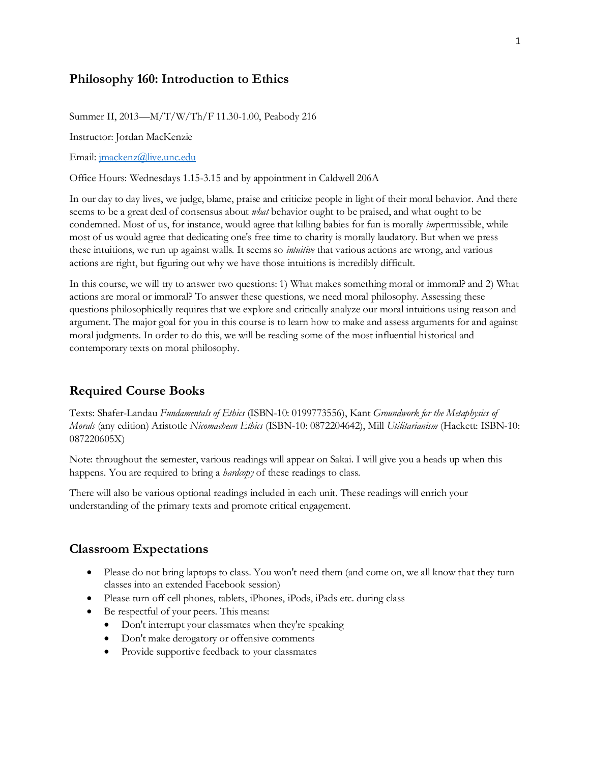## **Philosophy 160: Introduction to Ethics**

Summer II, 2013—M/T/W/Th/F 11.30-1.00, Peabody 216

Instructor: Jordan MacKenzie

Email[: jmackenz@live.unc.edu](mailto:jmackenz@live.unc.edu)

Office Hours: Wednesdays 1.15-3.15 and by appointment in Caldwell 206A

In our day to day lives, we judge, blame, praise and criticize people in light of their moral behavior. And there seems to be a great deal of consensus about *what* behavior ought to be praised, and what ought to be condemned. Most of us, for instance, would agree that killing babies for fun is morally *im*permissible, while most of us would agree that dedicating one's free time to charity is morally laudatory. But when we press these intuitions, we run up against walls. It seems so *intuitive* that various actions are wrong, and various actions are right, but figuring out why we have those intuitions is incredibly difficult.

In this course, we will try to answer two questions: 1) What makes something moral or immoral? and 2) What actions are moral or immoral? To answer these questions, we need moral philosophy. Assessing these questions philosophically requires that we explore and critically analyze our moral intuitions using reason and argument. The major goal for you in this course is to learn how to make and assess arguments for and against moral judgments. In order to do this, we will be reading some of the most influential historical and contemporary texts on moral philosophy.

#### **Required Course Books**

Texts: Shafer-Landau *Fundamentals of Ethics* (ISBN-10: 0199773556), Kant *Groundwork for the Metaphysics of Morals* (any edition) Aristotle *Nicomachean Ethics* (ISBN-10: 0872204642), Mill *Utilitarianism* (Hackett: ISBN-10: 087220605X)

Note: throughout the semester, various readings will appear on Sakai. I will give you a heads up when this happens. You are required to bring a *hardcopy* of these readings to class.

There will also be various optional readings included in each unit. These readings will enrich your understanding of the primary texts and promote critical engagement.

#### **Classroom Expectations**

- Please do not bring laptops to class. You won't need them (and come on, we all know that they turn classes into an extended Facebook session)
- Please turn off cell phones, tablets, iPhones, iPods, iPads etc. during class
- Be respectful of your peers. This means:
	- Don't interrupt your classmates when they're speaking
	- Don't make derogatory or offensive comments
	- Provide supportive feedback to your classmates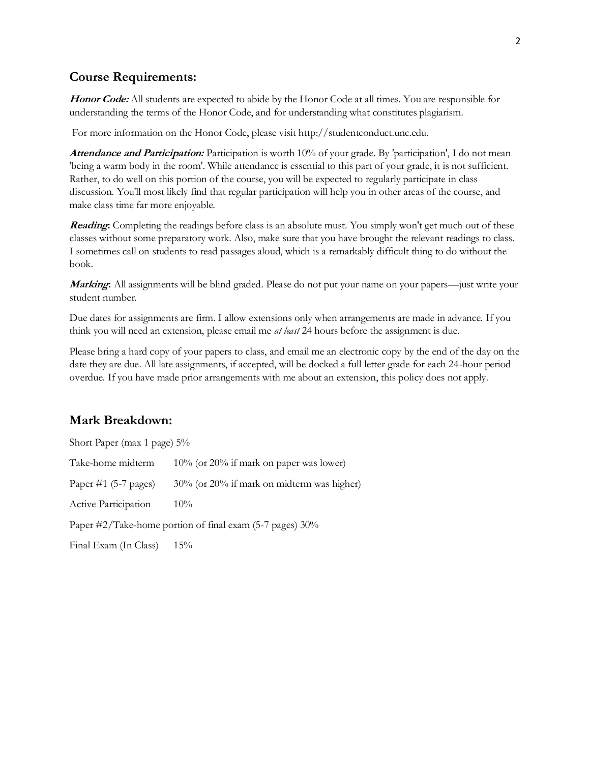# **Course Requirements:**

**Honor Code:** All students are expected to abide by the Honor Code at all times. You are responsible for understanding the terms of the Honor Code, and for understanding what constitutes plagiarism.

For more information on the Honor Code, please visit http://studentconduct.unc.edu.

**Attendance and Participation:** Participation is worth 10% of your grade. By 'participation', I do not mean 'being a warm body in the room'. While attendance is essential to this part of your grade, it is not sufficient. Rather, to do well on this portion of the course, you will be expected to regularly participate in class discussion. You'll most likely find that regular participation will help you in other areas of the course, and make class time far more enjoyable.

**Reading:** Completing the readings before class is an absolute must. You simply won't get much out of these classes without some preparatory work. Also, make sure that you have brought the relevant readings to class. I sometimes call on students to read passages aloud, which is a remarkably difficult thing to do without the book.

**Marking:** All assignments will be blind graded. Please do not put your name on your papers—just write your student number.

Due dates for assignments are firm. I allow extensions only when arrangements are made in advance. If you think you will need an extension, please email me *at least* 24 hours before the assignment is due.

Please bring a hard copy of your papers to class, and email me an electronic copy by the end of the day on the date they are due. All late assignments, if accepted, will be docked a full letter grade for each 24-hour period overdue. If you have made prior arrangements with me about an extension, this policy does not apply.

### **Mark Breakdown:**

| Short Paper (max 1 page) $5\%$                           |                                            |  |  |  |
|----------------------------------------------------------|--------------------------------------------|--|--|--|
| Take-home midterm                                        | $10\%$ (or 20% if mark on paper was lower) |  |  |  |
| Paper $\#1$ (5-7 pages)                                  | 30% (or 20% if mark on midterm was higher) |  |  |  |
| Active Participation                                     | $10\%$                                     |  |  |  |
| Paper #2/Take-home portion of final exam (5-7 pages) 30% |                                            |  |  |  |
| Final Exam (In Class)                                    | $15\%$                                     |  |  |  |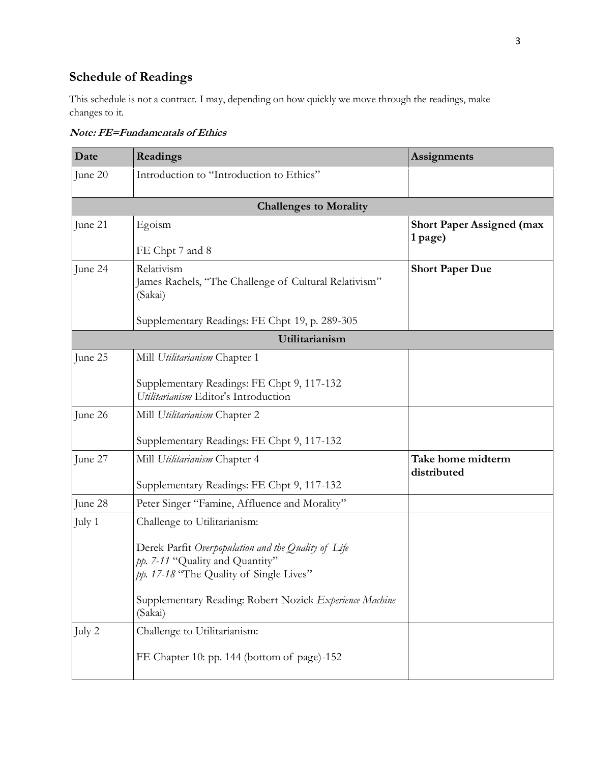# **Schedule of Readings**

This schedule is not a contract. I may, depending on how quickly we move through the readings, make changes to it.

| Date           | Readings                                                                                                                                                                                                                                | <b>Assignments</b>                          |  |  |
|----------------|-----------------------------------------------------------------------------------------------------------------------------------------------------------------------------------------------------------------------------------------|---------------------------------------------|--|--|
| June 20        | Introduction to "Introduction to Ethics"                                                                                                                                                                                                |                                             |  |  |
|                | <b>Challenges to Morality</b>                                                                                                                                                                                                           |                                             |  |  |
| June 21        | Egoism<br>FE Chpt 7 and 8                                                                                                                                                                                                               | <b>Short Paper Assigned (max</b><br>1 page) |  |  |
| June 24        | Relativism<br>James Rachels, "The Challenge of Cultural Relativism"<br>(Sakai)                                                                                                                                                          | <b>Short Paper Due</b>                      |  |  |
|                | Supplementary Readings: FE Chpt 19, p. 289-305                                                                                                                                                                                          |                                             |  |  |
| Utilitarianism |                                                                                                                                                                                                                                         |                                             |  |  |
| June 25        | Mill Utilitarianism Chapter 1<br>Supplementary Readings: FE Chpt 9, 117-132<br>Utilitarianism Editor's Introduction                                                                                                                     |                                             |  |  |
| June 26        | Mill Utilitarianism Chapter 2<br>Supplementary Readings: FE Chpt 9, 117-132                                                                                                                                                             |                                             |  |  |
| June 27        | Mill Utilitarianism Chapter 4<br>Supplementary Readings: FE Chpt 9, 117-132                                                                                                                                                             | Take home midterm<br>distributed            |  |  |
| June 28        | Peter Singer "Famine, Affluence and Morality"                                                                                                                                                                                           |                                             |  |  |
| July 1         | Challenge to Utilitarianism:<br>Derek Parfit Overpopulation and the Quality of Life<br>pp. 7-11 "Quality and Quantity"<br>pp. 17-18 "The Quality of Single Lives"<br>Supplementary Reading: Robert Nozick Experience Machine<br>(Sakai) |                                             |  |  |
| July 2         | Challenge to Utilitarianism:<br>FE Chapter 10: pp. 144 (bottom of page)-152                                                                                                                                                             |                                             |  |  |

**Note: FE=Fundamentals of Ethics**